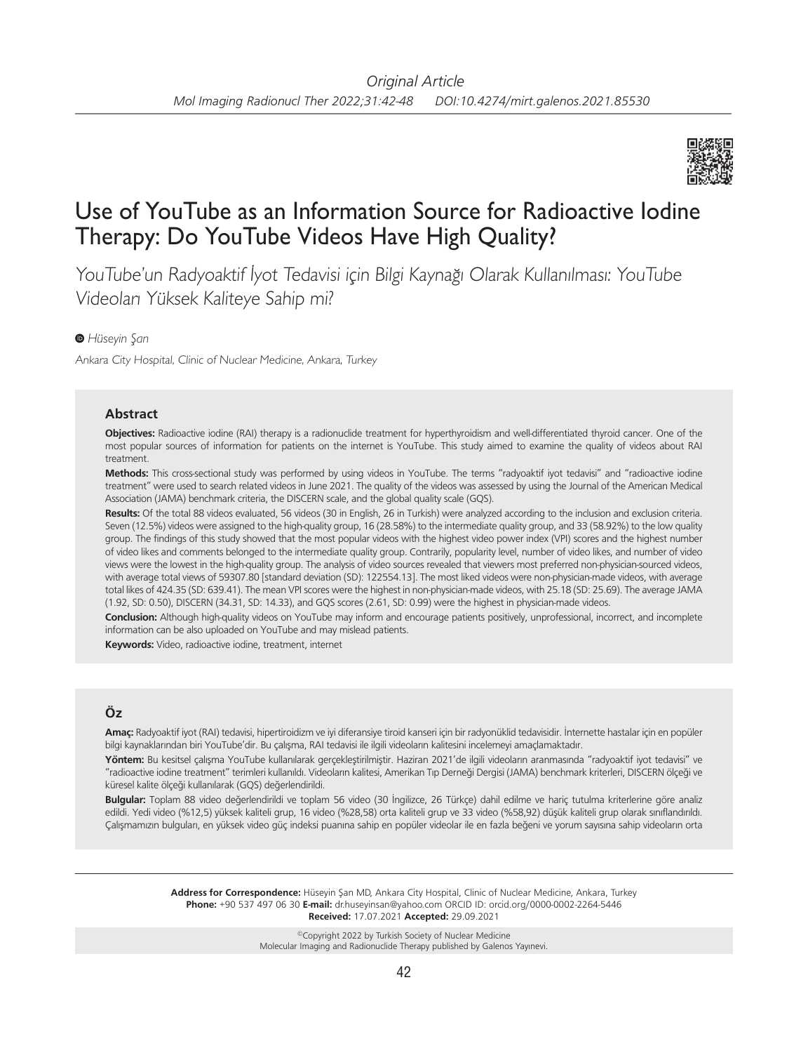

# Use of YouTube as an Information Source for Radioactive Iodine Therapy: Do YouTube Videos Have High Quality?

YouTube'un Radyoaktif İyot Tedavisi için Bilgi Kaynağı Olarak Kullanılması: YouTube Videoları Yüksek Kaliteye Sahip mi?

### *Hüseyin Şan*

Ankara City Hospital, Clinic of Nuclear Medicine, Ankara, Turkey

#### **Abstract**

**Objectives:** Radioactive iodine (RAI) therapy is a radionuclide treatment for hyperthyroidism and well-differentiated thyroid cancer. One of the most popular sources of information for patients on the internet is YouTube. This study aimed to examine the quality of videos about RAI treatment.

**Methods:** This cross-sectional study was performed by using videos in YouTube. The terms "radyoaktif iyot tedavisi" and "radioactive iodine treatment" were used to search related videos in June 2021. The quality of the videos was assessed by using the Journal of the American Medical Association (JAMA) benchmark criteria, the DISCERN scale, and the global quality scale (GQS).

**Results:** Of the total 88 videos evaluated, 56 videos (30 in English, 26 in Turkish) were analyzed according to the inclusion and exclusion criteria. Seven (12.5%) videos were assigned to the high-quality group, 16 (28.58%) to the intermediate quality group, and 33 (58.92%) to the low quality group. The findings of this study showed that the most popular videos with the highest video power index (VPI) scores and the highest number of video likes and comments belonged to the intermediate quality group. Contrarily, popularity level, number of video likes, and number of video views were the lowest in the high-quality group. The analysis of video sources revealed that viewers most preferred non-physician-sourced videos, with average total views of 59307.80 [standard deviation (SD): 122554.13]. The most liked videos were non-physician-made videos, with average total likes of 424.35 (SD: 639.41). The mean VPI scores were the highest in non-physician-made videos, with 25.18 (SD: 25.69). The average JAMA (1.92, SD: 0.50), DISCERN (34.31, SD: 14.33), and GQS scores (2.61, SD: 0.99) were the highest in physician-made videos.

**Conclusion:** Although high-quality videos on YouTube may inform and encourage patients positively, unprofessional, incorrect, and incomplete information can be also uploaded on YouTube and may mislead patients.

**Keywords:** Video, radioactive iodine, treatment, internet

# **Öz**

**Amaç:** Radyoaktif iyot (RAI) tedavisi, hipertiroidizm ve iyi diferansiye tiroid kanseri için bir radyonüklid tedavisidir. İnternette hastalar için en popüler bilgi kaynaklarından biri YouTube'dir. Bu çalışma, RAI tedavisi ile ilgili videoların kalitesini incelemeyi amaçlamaktadır.

**Yöntem:** Bu kesitsel çalışma YouTube kullanılarak gerçekleştirilmiştir. Haziran 2021'de ilgili videoların aranmasında "radyoaktif iyot tedavisi" ve "radioactive iodine treatment" terimleri kullanıldı. Videoların kalitesi, Amerikan Tıp Derneği Dergisi (JAMA) benchmark kriterleri, DISCERN ölçeği ve küresel kalite ölçeği kullanılarak (GQS) değerlendirildi.

**Bulgular:** Toplam 88 video değerlendirildi ve toplam 56 video (30 İngilizce, 26 Türkçe) dahil edilme ve hariç tutulma kriterlerine göre analiz edildi. Yedi video (%12,5) yüksek kaliteli grup, 16 video (%28,58) orta kaliteli grup ve 33 video (%58,92) düşük kaliteli grup olarak sınıflandırıldı. Çalışmamızın bulguları, en yüksek video güç indeksi puanına sahip en popüler videolar ile en fazla beğeni ve yorum sayısına sahip videoların orta

> **Address for Correspondence:** Hüseyin Şan MD, Ankara City Hospital, Clinic of Nuclear Medicine, Ankara, Turkey **Phone:** +90 537 497 06 30 **E-mail:** dr.huseyinsan@yahoo.com ORCID ID: orcid.org/0000-0002-2264-5446 **Received:** 17.07.2021 **Accepted:** 29.09.2021

> > ©Copyright 2022 by Turkish Society of Nuclear Medicine Molecular Imaging and Radionuclide Therapy published by Galenos Yayınevi.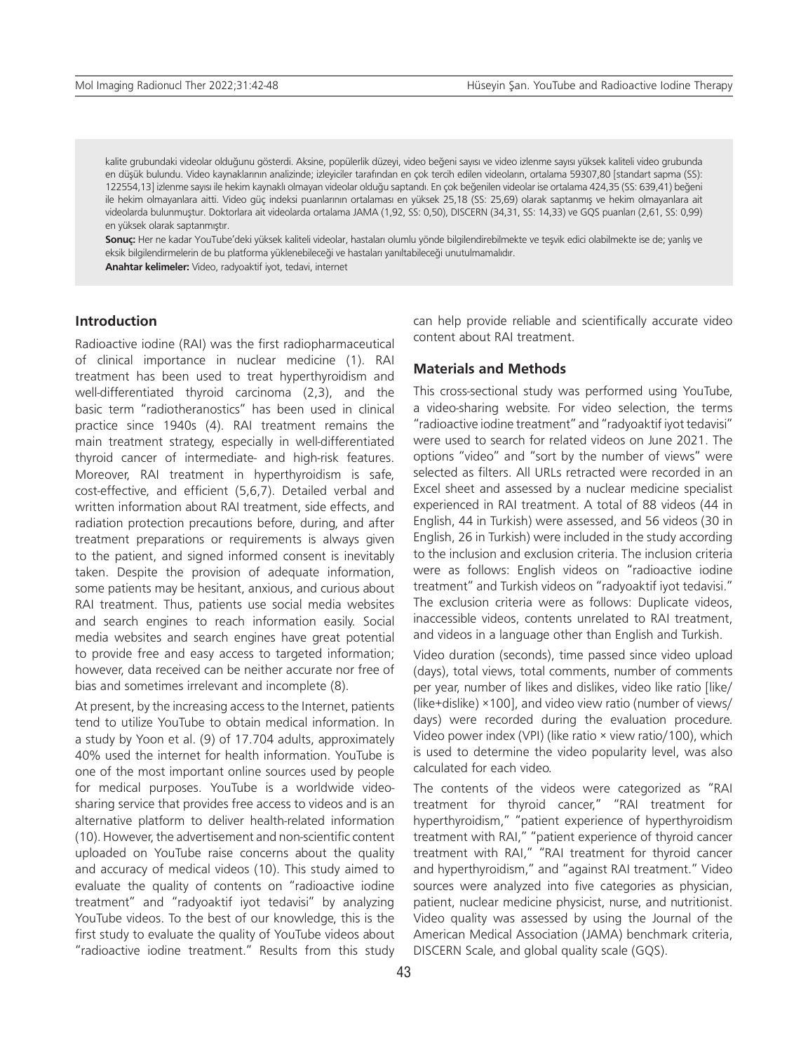kalite grubundaki videolar olduğunu gösterdi. Aksine, popülerlik düzeyi, video beğeni sayısı ve video izlenme sayısı yüksek kaliteli video grubunda en düşük bulundu. Video kaynaklarının analizinde; izleyiciler tarafından en çok tercih edilen videoların, ortalama 59307,80 [standart sapma (SS): 122554,13] izlenme sayısı ile hekim kaynaklı olmayan videolar olduğu saptandı. En çok beğenilen videolar ise ortalama 424,35 (SS: 639,41) beğeni ile hekim olmayanlara aitti. Video güç indeksi puanlarının ortalaması en yüksek 25,18 (SS: 25,69) olarak saptanmış ve hekim olmayanlara ait videolarda bulunmuştur. Doktorlara ait videolarda ortalama JAMA (1,92, SS: 0,50), DISCERN (34,31, SS: 14,33) ve GQS puanları (2,61, SS: 0,99) en yüksek olarak saptanmıştır.

**Sonuç:** Her ne kadar YouTube'deki yüksek kaliteli videolar, hastaları olumlu yönde bilgilendirebilmekte ve teşvik edici olabilmekte ise de; yanlış ve eksik bilgilendirmelerin de bu platforma yüklenebileceği ve hastaları yanıltabileceği unutulmamalıdır.

**Anahtar kelimeler:** Video, radyoaktif iyot, tedavi, internet

## **Introduction**

Radioactive iodine (RAI) was the first radiopharmaceutical of clinical importance in nuclear medicine (1). RAI treatment has been used to treat hyperthyroidism and well-differentiated thyroid carcinoma (2,3), and the basic term "radiotheranostics" has been used in clinical practice since 1940s (4). RAI treatment remains the main treatment strategy, especially in well-differentiated thyroid cancer of intermediate- and high-risk features. Moreover, RAI treatment in hyperthyroidism is safe, cost-effective, and efficient (5,6,7). Detailed verbal and written information about RAI treatment, side effects, and radiation protection precautions before, during, and after treatment preparations or requirements is always given to the patient, and signed informed consent is inevitably taken. Despite the provision of adequate information, some patients may be hesitant, anxious, and curious about RAI treatment. Thus, patients use social media websites and search engines to reach information easily. Social media websites and search engines have great potential to provide free and easy access to targeted information; however, data received can be neither accurate nor free of bias and sometimes irrelevant and incomplete (8).

At present, by the increasing access to the Internet, patients tend to utilize YouTube to obtain medical information. In a study by Yoon et al. (9) of 17.704 adults, approximately 40% used the internet for health information. YouTube is one of the most important online sources used by people for medical purposes. YouTube is a worldwide videosharing service that provides free access to videos and is an alternative platform to deliver health-related information (10). However, the advertisement and non-scientific content uploaded on YouTube raise concerns about the quality and accuracy of medical videos (10). This study aimed to evaluate the quality of contents on "radioactive iodine treatment" and "radyoaktif iyot tedavisi" by analyzing YouTube videos. To the best of our knowledge, this is the first study to evaluate the quality of YouTube videos about "radioactive iodine treatment." Results from this study

can help provide reliable and scientifically accurate video content about RAI treatment.

## **Materials and Methods**

This cross-sectional study was performed using YouTube, a video-sharing website. For video selection, the terms "radioactive iodine treatment" and "radyoaktif iyot tedavisi" were used to search for related videos on June 2021. The options "video" and "sort by the number of views" were selected as filters. All URLs retracted were recorded in an Excel sheet and assessed by a nuclear medicine specialist experienced in RAI treatment. A total of 88 videos (44 in English, 44 in Turkish) were assessed, and 56 videos (30 in English, 26 in Turkish) were included in the study according to the inclusion and exclusion criteria. The inclusion criteria were as follows: English videos on "radioactive iodine treatment" and Turkish videos on "radyoaktif iyot tedavisi." The exclusion criteria were as follows: Duplicate videos, inaccessible videos, contents unrelated to RAI treatment, and videos in a language other than English and Turkish.

Video duration (seconds), time passed since video upload (days), total views, total comments, number of comments per year, number of likes and dislikes, video like ratio [like/ (like+dislike) ×100], and video view ratio (number of views/ days) were recorded during the evaluation procedure. Video power index (VPI) (like ratio × view ratio/100), which is used to determine the video popularity level, was also calculated for each video.

The contents of the videos were categorized as "RAI treatment for thyroid cancer," "RAI treatment for hyperthyroidism," "patient experience of hyperthyroidism treatment with RAI," "patient experience of thyroid cancer treatment with RAI," "RAI treatment for thyroid cancer and hyperthyroidism," and "against RAI treatment." Video sources were analyzed into five categories as physician, patient, nuclear medicine physicist, nurse, and nutritionist. Video quality was assessed by using the Journal of the American Medical Association (JAMA) benchmark criteria, DISCERN Scale, and global quality scale (GQS).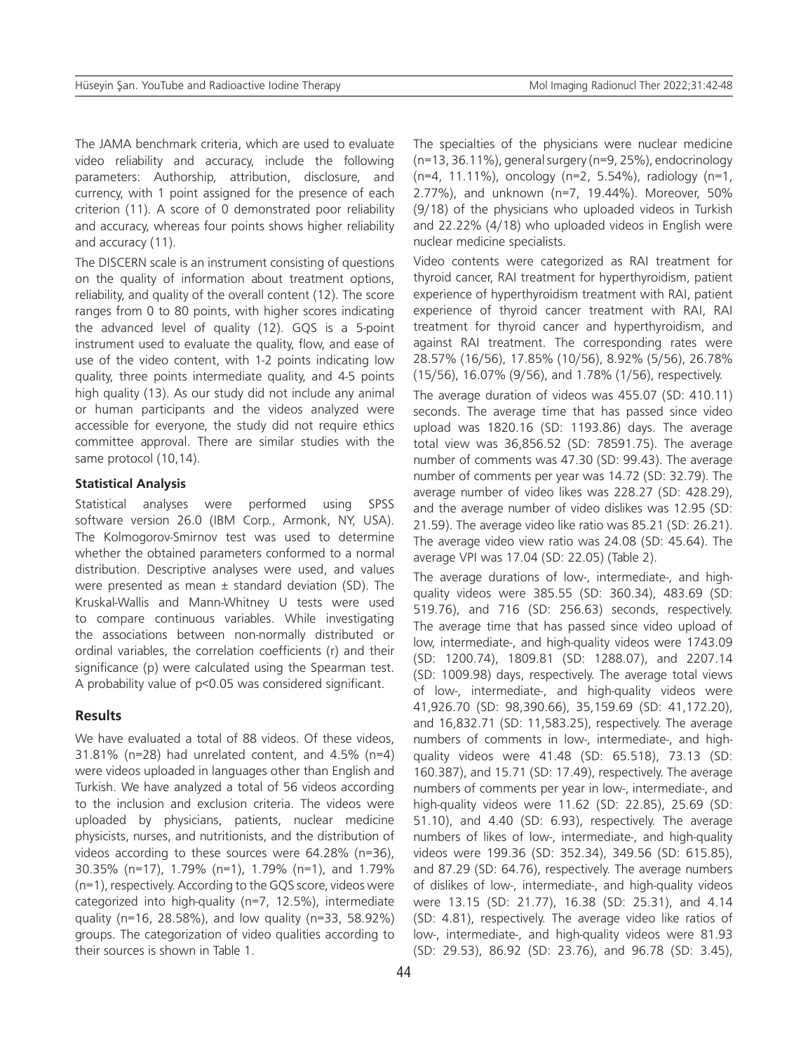The JAMA benchmark criteria, which are used to evaluate video reliability and accuracy, include the following parameters: Authorship, attribution, disclosure, and currency, with 1 point assigned for the presence of each criterion (11). A score of 0 demonstrated poor reliability and accuracy, whereas four points shows higher reliability and accuracy (11).

The DISCERN scale is an instrument consisting of questions on the quality of information about treatment options, reliability, and quality of the overall content (12). The score ranges from 0 to 80 points, with higher scores indicating the advanced level of quality (12). GQS is a 5-point instrument used to evaluate the quality, flow, and ease of use of the video content, with 1-2 points indicating low quality, three points intermediate quality, and 4-5 points high quality (13). As our study did not include any animal or human participants and the videos analyzed were accessible for everyone, the study did not require ethics committee approval. There are similar studies with the same protocol (10,14).

#### **Statistical Analysis**

Statistical analyses were performed using SPSS software version 26.0 (IBM Corp., Armonk, NY, USA). The Kolmogorov-Smirnov test was used to determine whether the obtained parameters conformed to a normal distribution. Descriptive analyses were used, and values were presented as mean  $\pm$  standard deviation (SD). The Kruskal-Wallis and Mann-Whitney U tests were used to compare continuous variables. While investigating the associations between non-normally distributed or ordinal variables, the correlation coefficients (r) and their significance (p) were calculated using the Spearman test. A probability value of p<0.05 was considered significant.

## **Results**

We have evaluated a total of 88 videos. Of these videos,  $31.81\%$  (n=28) had unrelated content, and  $4.5\%$  (n=4) were videos uploaded in languages other than English and Turkish. We have analyzed a total of 56 videos according to the inclusion and exclusion criteria. The videos were uploaded by physicians, patients, nuclear medicine physicists, nurses, and nutritionists, and the distribution of videos according to these sources were 64.28% (n=36), 30.35% (n=17), 1.79% (n=1), 1.79% (n=1), and 1.79% (n=1), respectively. According to the GQS score, videos were categorized into high-quality (n=7, 12.5%), intermediate quality (n=16, 28.58%), and low quality (n=33, 58.92%) groups. The categorization of video qualities according to their sources is shown in Table 1.

The specialties of the physicians were nuclear medicine (n=13, 36.11%), general surgery (n=9, 25%), endocrinology (n=4, 11.11%), oncology (n=2, 5.54%), radiology (n=1, 2.77%), and unknown (n=7, 19.44%). Moreover, 50% (9/18) of the physicians who uploaded videos in Turkish and 22.22% (4/18) who uploaded videos in English were nuclear medicine specialists.

Video contents were categorized as RAI treatment for thyroid cancer, RAI treatment for hyperthyroidism, patient experience of hyperthyroidism treatment with RAI, patient experience of thyroid cancer treatment with RAI, RAI treatment for thyroid cancer and hyperthyroidism, and against RAI treatment. The corresponding rates were 28.57% (16/56), 17.85% (10/56), 8.92% (5/56), 26.78% (15/56), 16.07% (9/56), and 1.78% (1/56), respectively.

The average duration of videos was 455.07 (SD: 410.11) seconds. The average time that has passed since video upload was 1820.16 (SD: 1193.86) days. The average total view was 36,856.52 (SD: 78591.75). The average number of comments was 47.30 (SD: 99.43). The average number of comments per year was 14.72 (SD: 32.79). The average number of video likes was 228.27 (SD: 428.29), and the average number of video dislikes was 12.95 (SD: 21.59). The average video like ratio was 85.21 (SD: 26.21). The average video view ratio was 24.08 (SD: 45.64). The average VPI was 17.04 (SD: 22.05) (Table 2).

The average durations of low-, intermediate-, and highquality videos were 385.55 (SD: 360.34), 483.69 (SD: 519.76), and 716 (SD: 256.63) seconds, respectively. The average time that has passed since video upload of low, intermediate-, and high-quality videos were 1743.09 (SD: 1200.74), 1809.81 (SD: 1288.07), and 2207.14 (SD: 1009.98) days, respectively. The average total views of low-, intermediate-, and high-quality videos were 41,926.70 (SD: 98,390.66), 35,159.69 (SD: 41,172.20), and 16,832.71 (SD: 11,583.25), respectively. The average numbers of comments in low-, intermediate-, and highquality videos were 41.48 (SD: 65.518), 73.13 (SD: 160.387), and 15.71 (SD: 17.49), respectively. The average numbers of comments per year in low-, intermediate-, and high-quality videos were 11.62 (SD: 22.85), 25.69 (SD: 51.10), and 4.40 (SD: 6.93), respectively. The average numbers of likes of low-, intermediate-, and high-quality videos were 199.36 (SD: 352.34), 349.56 (SD: 615.85), and 87.29 (SD: 64.76), respectively. The average numbers of dislikes of low-, intermediate-, and high-quality videos were 13.15 (SD: 21.77), 16.38 (SD: 25.31), and 4.14 (SD: 4.81), respectively. The average video like ratios of low-, intermediate-, and high-quality videos were 81.93 (SD: 29.53), 86.92 (SD: 23.76), and 96.78 (SD: 3.45),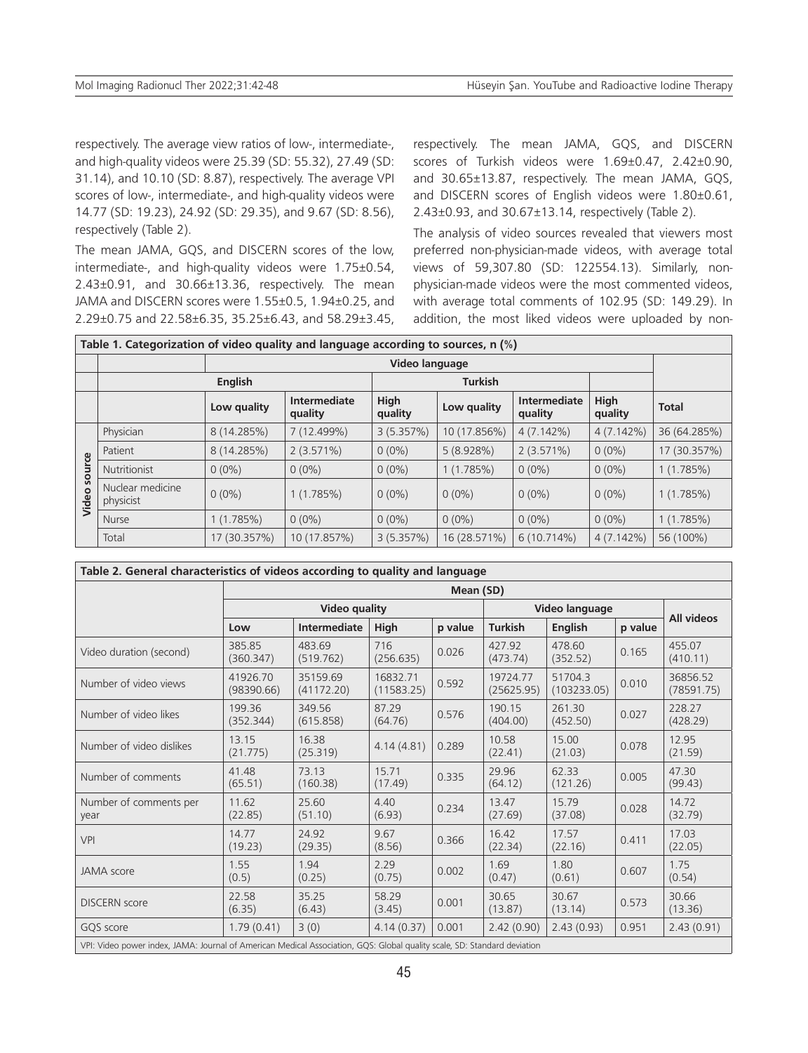respectively. The average view ratios of low-, intermediate-, and high-quality videos were 25.39 (SD: 55.32), 27.49 (SD: 31.14), and 10.10 (SD: 8.87), respectively. The average VPI scores of low-, intermediate-, and high-quality videos were 14.77 (SD: 19.23), 24.92 (SD: 29.35), and 9.67 (SD: 8.56), respectively (Table 2).

The mean JAMA, GQS, and DISCERN scores of the low, intermediate-, and high-quality videos were 1.75±0.54, 2.43±0.91, and 30.66±13.36, respectively. The mean JAMA and DISCERN scores were 1.55±0.5, 1.94±0.25, and 2.29±0.75 and 22.58±6.35, 35.25±6.43, and 58.29±3.45, respectively. The mean JAMA, GQS, and DISCERN scores of Turkish videos were 1.69±0.47, 2.42±0.90, and 30.65±13.87, respectively. The mean JAMA, GQS, and DISCERN scores of English videos were 1.80±0.61, 2.43±0.93, and 30.67±13.14, respectively (Table 2).

The analysis of video sources revealed that viewers most preferred non-physician-made videos, with average total views of 59,307.80 (SD: 122554.13). Similarly, nonphysician-made videos were the most commented videos, with average total comments of 102.95 (SD: 149.29). In addition, the most liked videos were uploaded by non-

| Table 1. Categorization of video quality and language according to sources, $n$ (%) |                               |                |                         |                 |                |                         |                 |              |
|-------------------------------------------------------------------------------------|-------------------------------|----------------|-------------------------|-----------------|----------------|-------------------------|-----------------|--------------|
|                                                                                     |                               | Video language |                         |                 |                |                         |                 |              |
|                                                                                     | <b>English</b>                |                |                         |                 | <b>Turkish</b> |                         |                 |              |
|                                                                                     |                               | Low quality    | Intermediate<br>quality | High<br>quality | Low quality    | Intermediate<br>quality | High<br>quality | <b>Total</b> |
| ၛ<br>sour<br>Video                                                                  | Physician                     | 8 (14.285%)    | 7 (12.499%)             | 3(5.357%)       | 10 (17.856%)   | 4(7.142%)               | $4(7.142\%)$    | 36 (64.285%) |
|                                                                                     | Patient                       | 8 (14.285%)    | 2(3.571%)               | $0(0\%)$        | 5 (8.928%)     | 2(3.571%)               | $0(0\%)$        | 17 (30.357%) |
|                                                                                     | Nutritionist                  | $0(0\%)$       | $0(0\%)$                | $0(0\%)$        | 1(1.785%)      | $0(0\%)$                | $0(0\%)$        | 1(1.785%)    |
|                                                                                     | Nuclear medicine<br>physicist | $0(0\%)$       | 1(1.785%)               | $0(0\%)$        | $0(0\%)$       | $0(0\%)$                | $0(0\%)$        | 1(1.785%)    |
|                                                                                     | Nurse                         | 1(1.785%)      | $0(0\%)$                | $0(0\%)$        | $0(0\%)$       | $0(0\%)$                | $0(0\%)$        | 1(1.785%)    |
|                                                                                     | Total                         | 17 (30.357%)   | 10 (17.857%)            | 3(5.357%)       | 16 (28.571%)   | $6(10.714\%)$           | $4(7.142\%)$    | 56 (100%)    |

| Table 2. General characteristics of videos according to quality and language                                             |                        |                        |                        |                |                        |                        |            |                        |
|--------------------------------------------------------------------------------------------------------------------------|------------------------|------------------------|------------------------|----------------|------------------------|------------------------|------------|------------------------|
|                                                                                                                          | Mean (SD)              |                        |                        |                |                        |                        |            |                        |
|                                                                                                                          | <b>Video quality</b>   |                        |                        | Video language |                        |                        | All videos |                        |
|                                                                                                                          | Low                    | Intermediate           | High                   | p value        | <b>Turkish</b>         | <b>English</b>         | p value    |                        |
| Video duration (second)                                                                                                  | 385.85<br>(360.347)    | 483.69<br>(519.762)    | 716<br>(256.635)       | 0.026          | 427.92<br>(473.74)     | 478.60<br>(352.52)     | 0.165      | 455.07<br>(410.11)     |
| Number of video views                                                                                                    | 41926.70<br>(98390.66) | 35159.69<br>(41172.20) | 16832.71<br>(11583.25) | 0.592          | 19724.77<br>(25625.95) | 51704.3<br>(103233.05) | 0.010      | 36856.52<br>(78591.75) |
| Number of video likes                                                                                                    | 199.36<br>(352.344)    | 349.56<br>(615.858)    | 87.29<br>(64.76)       | 0.576          | 190.15<br>(404.00)     | 261.30<br>(452.50)     | 0.027      | 228.27<br>(428.29)     |
| Number of video dislikes                                                                                                 | 13.15<br>(21.775)      | 16.38<br>(25.319)      | 4.14(4.81)             | 0.289          | 10.58<br>(22.41)       | 15.00<br>(21.03)       | 0.078      | 12.95<br>(21.59)       |
| Number of comments                                                                                                       | 41.48<br>(65.51)       | 73.13<br>(160.38)      | 15.71<br>(17.49)       | 0.335          | 29.96<br>(64.12)       | 62.33<br>(121.26)      | 0.005      | 47.30<br>(99.43)       |
| Number of comments per<br>year                                                                                           | 11.62<br>(22.85)       | 25.60<br>(51.10)       | 4.40<br>(6.93)         | 0.234          | 13.47<br>(27.69)       | 15.79<br>(37.08)       | 0.028      | 14.72<br>(32.79)       |
| <b>VPI</b>                                                                                                               | 14.77<br>(19.23)       | 24.92<br>(29.35)       | 9.67<br>(8.56)         | 0.366          | 16.42<br>(22.34)       | 17.57<br>(22.16)       | 0.411      | 17.03<br>(22.05)       |
| <b>JAMA</b> score                                                                                                        | 1.55<br>(0.5)          | 1.94<br>(0.25)         | 2.29<br>(0.75)         | 0.002          | 1.69<br>(0.47)         | 1.80<br>(0.61)         | 0.607      | 1.75<br>(0.54)         |
| <b>DISCERN</b> score                                                                                                     | 22.58<br>(6.35)        | 35.25<br>(6.43)        | 58.29<br>(3.45)        | 0.001          | 30.65<br>(13.87)       | 30.67<br>(13.14)       | 0.573      | 30.66<br>(13.36)       |
| GOS score                                                                                                                | 1.79(0.41)             | 3(0)                   | 4.14(0.37)             | 0.001          | 2.42(0.90)             | 2.43(0.93)             | 0.951      | 2.43(0.91)             |
| VPI: Video power index, JAMA: Journal of American Medical Association, GQS: Global quality scale, SD: Standard deviation |                        |                        |                        |                |                        |                        |            |                        |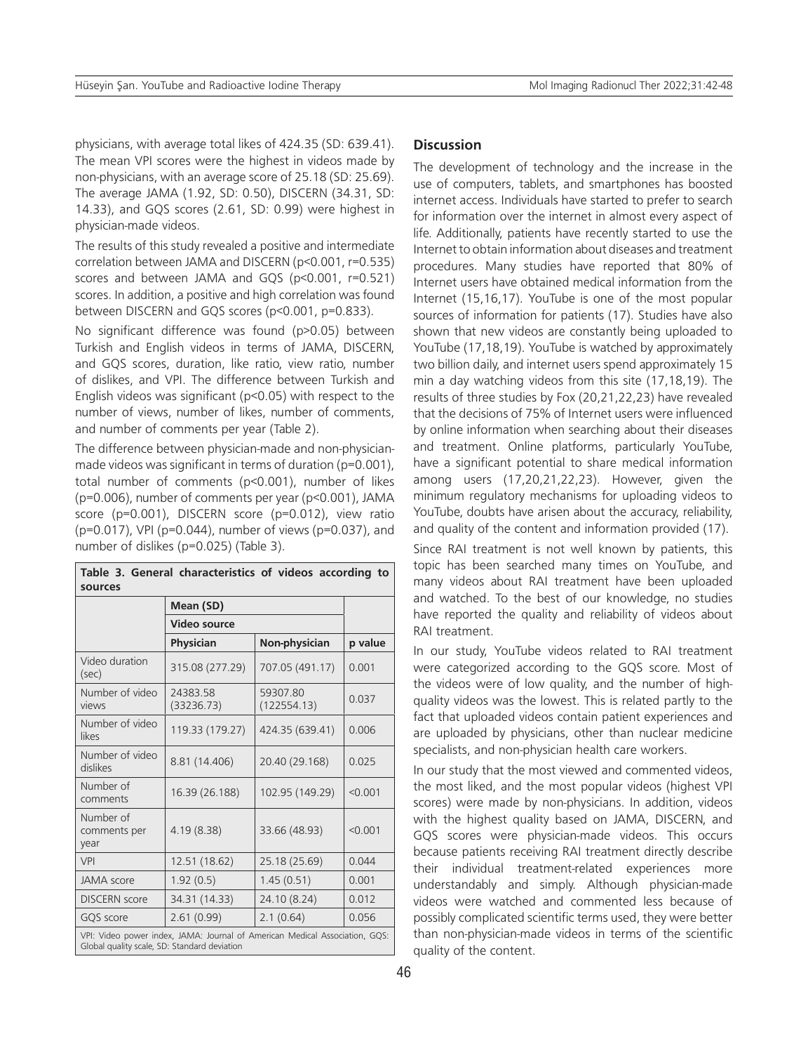physicians, with average total likes of 424.35 (SD: 639.41). The mean VPI scores were the highest in videos made by non-physicians, with an average score of 25.18 (SD: 25.69). The average JAMA (1.92, SD: 0.50), DISCERN (34.31, SD: 14.33), and GQS scores (2.61, SD: 0.99) were highest in physician-made videos.

The results of this study revealed a positive and intermediate correlation between JAMA and DISCERN (p<0.001, r=0.535) scores and between JAMA and GQS (p<0.001, r=0.521) scores. In addition, a positive and high correlation was found between DISCERN and GQS scores (p<0.001, p=0.833).

No significant difference was found (p>0.05) between Turkish and English videos in terms of JAMA, DISCERN, and GQS scores, duration, like ratio, view ratio, number of dislikes, and VPI. The difference between Turkish and English videos was significant (p<0.05) with respect to the number of views, number of likes, number of comments, and number of comments per year (Table 2).

The difference between physician-made and non-physicianmade videos was significant in terms of duration (p=0.001), total number of comments (p<0.001), number of likes (p=0.006), number of comments per year (p<0.001), JAMA score (p=0.001), DISCERN score (p=0.012), view ratio (p=0.017), VPI (p=0.044), number of views (p=0.037), and number of dislikes (p=0.025) (Table 3).

| Table 3. General characteristics of videos according to<br>sources |                                                                             |                         |         |  |  |  |
|--------------------------------------------------------------------|-----------------------------------------------------------------------------|-------------------------|---------|--|--|--|
|                                                                    | Mean (SD)                                                                   |                         |         |  |  |  |
|                                                                    | <b>Video source</b>                                                         |                         |         |  |  |  |
|                                                                    | Physician                                                                   | Non-physician           | p value |  |  |  |
| Video duration<br>(sec)                                            | 315.08 (277.29)                                                             | 707.05 (491.17)         | 0.001   |  |  |  |
| Number of video<br>views                                           | 24383.58<br>(33236.73)                                                      | 59307.80<br>(122554.13) | 0.037   |  |  |  |
| Number of video<br>likes                                           | 119.33 (179.27)                                                             | 424.35 (639.41)         | 0.006   |  |  |  |
| Number of video<br>dislikes                                        | 8.81 (14.406)                                                               | 20.40 (29.168)          | 0.025   |  |  |  |
| Number of<br>comments                                              | 16.39 (26.188)                                                              | 102.95 (149.29)         | < 0.001 |  |  |  |
| Number of<br>comments per<br>year                                  | 4.19(8.38)                                                                  | 33.66 (48.93)           | < 0.001 |  |  |  |
| VPI                                                                | 12.51 (18.62)                                                               | 25.18 (25.69)           | 0.044   |  |  |  |
| <b>JAMA</b> score                                                  | 1.92(0.5)                                                                   | 1.45(0.51)              | 0.001   |  |  |  |
| <b>DISCERN</b> score                                               | 34.31 (14.33)                                                               | 24.10 (8.24)            | 0.012   |  |  |  |
| GQS score                                                          | 2.61(0.99)                                                                  | 2.1(0.64)               | 0.056   |  |  |  |
| Global quality scale, SD: Standard deviation                       | VPI: Video power index, JAMA: Journal of American Medical Association, GQS: |                         |         |  |  |  |

## **Discussion**

The development of technology and the increase in the use of computers, tablets, and smartphones has boosted internet access. Individuals have started to prefer to search for information over the internet in almost every aspect of life. Additionally, patients have recently started to use the Internet to obtain information about diseases and treatment procedures. Many studies have reported that 80% of Internet users have obtained medical information from the Internet (15,16,17). YouTube is one of the most popular sources of information for patients (17). Studies have also shown that new videos are constantly being uploaded to YouTube (17,18,19). YouTube is watched by approximately two billion daily, and internet users spend approximately 15 min a day watching videos from this site (17,18,19). The results of three studies by Fox (20,21,22,23) have revealed that the decisions of 75% of Internet users were influenced by online information when searching about their diseases and treatment. Online platforms, particularly YouTube, have a significant potential to share medical information among users (17,20,21,22,23). However, given the minimum regulatory mechanisms for uploading videos to YouTube, doubts have arisen about the accuracy, reliability, and quality of the content and information provided (17).

Since RAI treatment is not well known by patients, this topic has been searched many times on YouTube, and many videos about RAI treatment have been uploaded and watched. To the best of our knowledge, no studies have reported the quality and reliability of videos about RAI treatment.

In our study, YouTube videos related to RAI treatment were categorized according to the GQS score. Most of the videos were of low quality, and the number of highquality videos was the lowest. This is related partly to the fact that uploaded videos contain patient experiences and are uploaded by physicians, other than nuclear medicine specialists, and non-physician health care workers.

In our study that the most viewed and commented videos, the most liked, and the most popular videos (highest VPI scores) were made by non-physicians. In addition, videos with the highest quality based on JAMA, DISCERN, and GQS scores were physician-made videos. This occurs because patients receiving RAI treatment directly describe their individual treatment-related experiences more understandably and simply. Although physician-made videos were watched and commented less because of possibly complicated scientific terms used, they were better than non-physician-made videos in terms of the scientific quality of the content.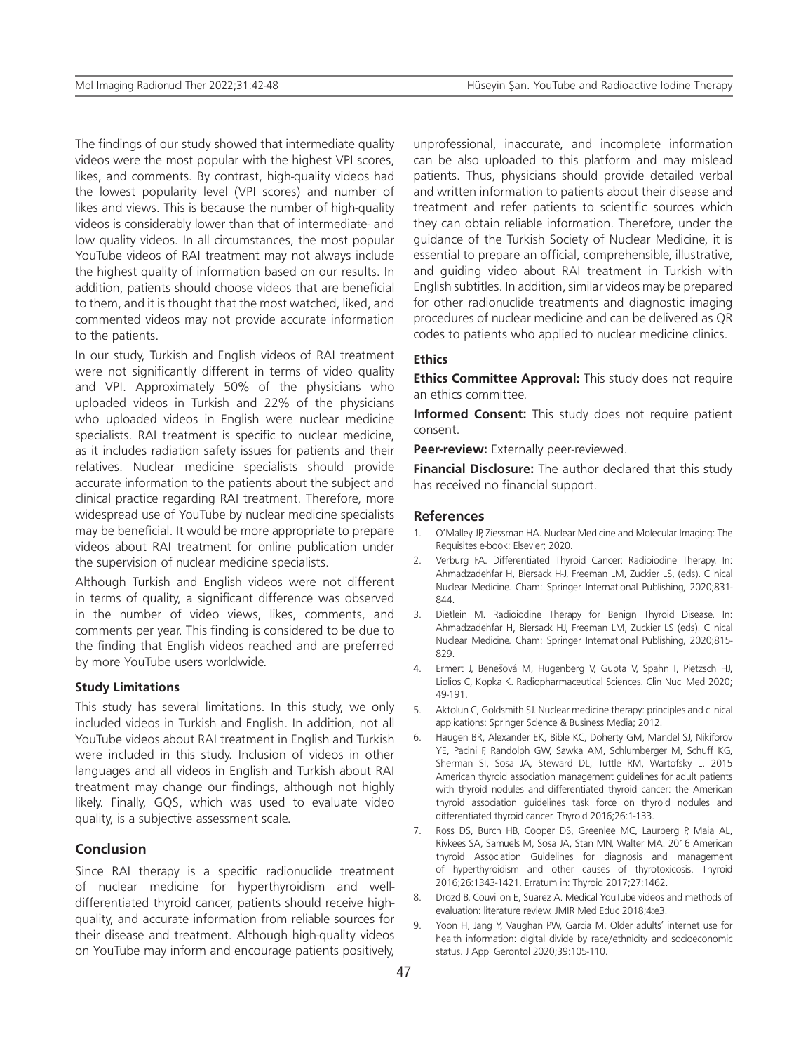The findings of our study showed that intermediate quality videos were the most popular with the highest VPI scores, likes, and comments. By contrast, high-quality videos had the lowest popularity level (VPI scores) and number of likes and views. This is because the number of high-quality videos is considerably lower than that of intermediate- and low quality videos. In all circumstances, the most popular YouTube videos of RAI treatment may not always include the highest quality of information based on our results. In addition, patients should choose videos that are beneficial to them, and it is thought that the most watched, liked, and commented videos may not provide accurate information to the patients.

In our study, Turkish and English videos of RAI treatment were not significantly different in terms of video quality and VPI. Approximately 50% of the physicians who uploaded videos in Turkish and 22% of the physicians who uploaded videos in English were nuclear medicine specialists. RAI treatment is specific to nuclear medicine, as it includes radiation safety issues for patients and their relatives. Nuclear medicine specialists should provide accurate information to the patients about the subject and clinical practice regarding RAI treatment. Therefore, more widespread use of YouTube by nuclear medicine specialists may be beneficial. It would be more appropriate to prepare videos about RAI treatment for online publication under the supervision of nuclear medicine specialists.

Although Turkish and English videos were not different in terms of quality, a significant difference was observed in the number of video views, likes, comments, and comments per year. This finding is considered to be due to the finding that English videos reached and are preferred by more YouTube users worldwide.

### **Study Limitations**

This study has several limitations. In this study, we only included videos in Turkish and English. In addition, not all YouTube videos about RAI treatment in English and Turkish were included in this study. Inclusion of videos in other languages and all videos in English and Turkish about RAI treatment may change our findings, although not highly likely. Finally, GQS, which was used to evaluate video quality, is a subjective assessment scale.

## **Conclusion**

Since RAI therapy is a specific radionuclide treatment of nuclear medicine for hyperthyroidism and welldifferentiated thyroid cancer, patients should receive highquality, and accurate information from reliable sources for their disease and treatment. Although high-quality videos on YouTube may inform and encourage patients positively, unprofessional, inaccurate, and incomplete information can be also uploaded to this platform and may mislead patients. Thus, physicians should provide detailed verbal and written information to patients about their disease and treatment and refer patients to scientific sources which they can obtain reliable information. Therefore, under the guidance of the Turkish Society of Nuclear Medicine, it is essential to prepare an official, comprehensible, illustrative, and guiding video about RAI treatment in Turkish with English subtitles. In addition, similar videos may be prepared for other radionuclide treatments and diagnostic imaging procedures of nuclear medicine and can be delivered as QR codes to patients who applied to nuclear medicine clinics.

#### **Ethics**

**Ethics Committee Approval:** This study does not require an ethics committee.

**Informed Consent:** This study does not require patient consent.

**Peer-review:** Externally peer-reviewed.

**Financial Disclosure:** The author declared that this study has received no financial support.

#### **References**

- 1. O'Malley JP, Ziessman HA. Nuclear Medicine and Molecular Imaging: The Requisites e-book: Elsevier; 2020.
- 2. Verburg FA. Differentiated Thyroid Cancer: Radioiodine Therapy. In: Ahmadzadehfar H, Biersack H-J, Freeman LM, Zuckier LS, (eds). Clinical Nuclear Medicine. Cham: Springer International Publishing, 2020;831- 844.
- 3. Dietlein M. Radioiodine Therapy for Benign Thyroid Disease. In: Ahmadzadehfar H, Biersack HJ, Freeman LM, Zuckier LS (eds). Clinical Nuclear Medicine. Cham: Springer International Publishing, 2020;815- 829.
- 4. Ermert J, Benešová M, Hugenberg V, Gupta V, Spahn I, Pietzsch HJ, Liolios C, Kopka K. Radiopharmaceutical Sciences. Clin Nucl Med 2020; 49-191.
- 5. Aktolun C, Goldsmith SJ. Nuclear medicine therapy: principles and clinical applications: Springer Science & Business Media; 2012.
- 6. Haugen BR, Alexander EK, Bible KC, Doherty GM, Mandel SJ, Nikiforov YE, Pacini F, Randolph GW, Sawka AM, Schlumberger M, Schuff KG, Sherman SI, Sosa JA, Steward DL, Tuttle RM, Wartofsky L. 2015 American thyroid association management guidelines for adult patients with thyroid nodules and differentiated thyroid cancer: the American thyroid association guidelines task force on thyroid nodules and differentiated thyroid cancer. Thyroid 2016;26:1-133.
- 7. Ross DS, Burch HB, Cooper DS, Greenlee MC, Laurberg P, Maia AL, Rivkees SA, Samuels M, Sosa JA, Stan MN, Walter MA. 2016 American thyroid Association Guidelines for diagnosis and management of hyperthyroidism and other causes of thyrotoxicosis. Thyroid 2016;26:1343-1421. Erratum in: Thyroid 2017;27:1462.
- 8. Drozd B, Couvillon E, Suarez A. Medical YouTube videos and methods of evaluation: literature review. JMIR Med Educ 2018;4:e3.
- 9. Yoon H, Jang Y, Vaughan PW, Garcia M. Older adults' internet use for health information: digital divide by race/ethnicity and socioeconomic status. J Appl Gerontol 2020;39:105-110.